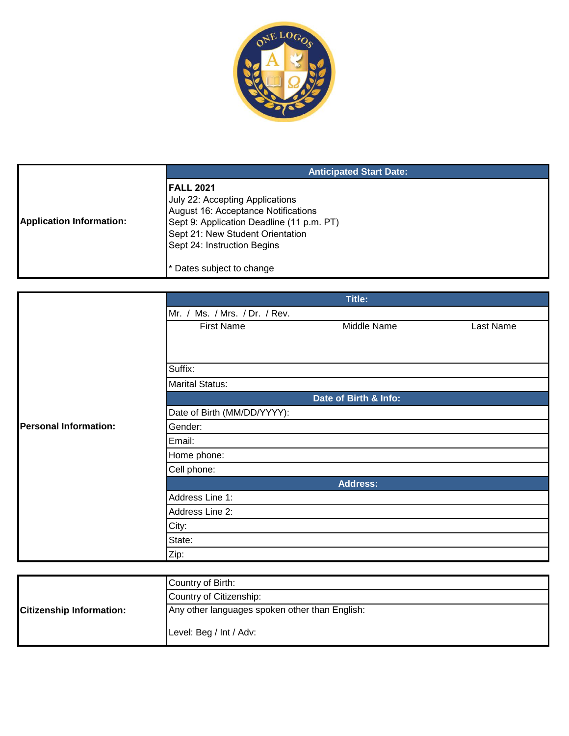

|                                 | <b>Anticipated Start Date:</b>                                                                                                                                                                              |
|---------------------------------|-------------------------------------------------------------------------------------------------------------------------------------------------------------------------------------------------------------|
| <b>Application Information:</b> | <b>IFALL 2021</b><br>July 22: Accepting Applications<br>August 16: Acceptance Notifications<br>Sept 9: Application Deadline (11 p.m. PT)<br>Sept 21: New Student Orientation<br>Sept 24: Instruction Begins |
|                                 | Dates subject to change                                                                                                                                                                                     |

|                              |                               | Title:                |           |
|------------------------------|-------------------------------|-----------------------|-----------|
|                              | Mr. / Ms. / Mrs. / Dr. / Rev. |                       |           |
|                              | <b>First Name</b>             | Middle Name           | Last Name |
|                              |                               |                       |           |
|                              |                               |                       |           |
|                              | Suffix:                       |                       |           |
|                              | <b>Marital Status:</b>        |                       |           |
|                              |                               | Date of Birth & Info: |           |
|                              | Date of Birth (MM/DD/YYYY):   |                       |           |
| <b>Personal Information:</b> | Gender:                       |                       |           |
|                              | Email:                        |                       |           |
|                              | Home phone:                   |                       |           |
|                              | Cell phone:                   |                       |           |
|                              |                               | <b>Address:</b>       |           |
|                              | Address Line 1:               |                       |           |
|                              | Address Line 2:               |                       |           |
|                              | City:                         |                       |           |
|                              | State:                        |                       |           |
|                              | Zip:                          |                       |           |

|                                 | Country of Birth:                              |
|---------------------------------|------------------------------------------------|
|                                 | Country of Citizenship:                        |
| <b>Citizenship Information:</b> | Any other languages spoken other than English: |
|                                 | Level: Beg / Int / Adv:                        |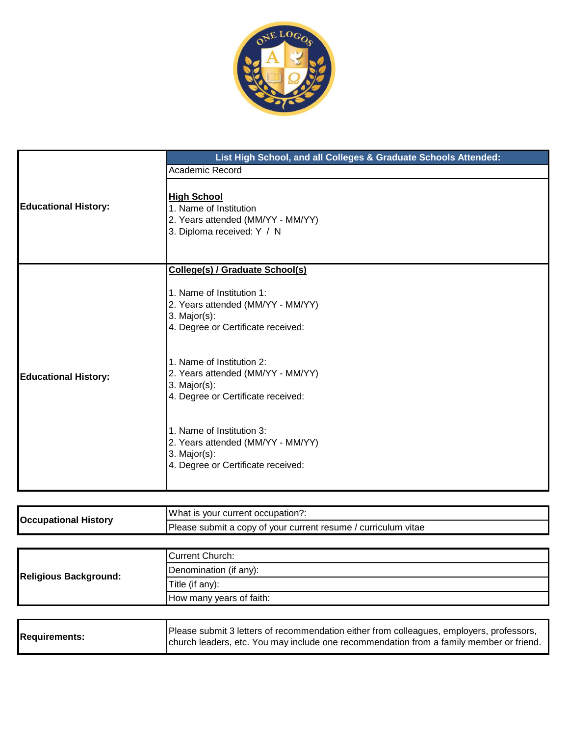

|                             | List High School, and all Colleges & Graduate Schools Attended: |
|-----------------------------|-----------------------------------------------------------------|
|                             | Academic Record                                                 |
|                             |                                                                 |
| <b>Educational History:</b> | <b>High School</b><br>1. Name of Institution                    |
|                             | 2. Years attended (MM/YY - MM/YY)                               |
|                             | 3. Diploma received: Y / N                                      |
|                             |                                                                 |
|                             | College(s) / Graduate School(s)                                 |
|                             | 1. Name of Institution 1:                                       |
|                             | 2. Years attended (MM/YY - MM/YY)                               |
|                             | $3.$ Major(s):                                                  |
|                             | 4. Degree or Certificate received:                              |
|                             | 1. Name of Institution 2:                                       |
| <b>Educational History:</b> | 2. Years attended (MM/YY - MM/YY)                               |
|                             | $3.$ Major(s):<br>4. Degree or Certificate received:            |
|                             |                                                                 |
|                             | 1. Name of Institution 3:                                       |
|                             | 2. Years attended (MM/YY - MM/YY)                               |
|                             | $3.$ Major(s):<br>4. Degree or Certificate received:            |
|                             |                                                                 |
|                             |                                                                 |

| <b>Occupational History</b> | IW hat is your current occupation?:                            |
|-----------------------------|----------------------------------------------------------------|
|                             | Please submit a copy of your current resume / curriculum vitae |

| <b>Religious Background:</b> | Current Church:                                                                                                                                                                     |
|------------------------------|-------------------------------------------------------------------------------------------------------------------------------------------------------------------------------------|
|                              | Denomination (if any):                                                                                                                                                              |
|                              | Title (if any):                                                                                                                                                                     |
|                              | How many years of faith:                                                                                                                                                            |
|                              |                                                                                                                                                                                     |
| <b>Requirements:</b>         | Please submit 3 letters of recommendation either from colleagues, employers, professors,<br>church leaders, etc. You may include one recommendation from a family member or friend. |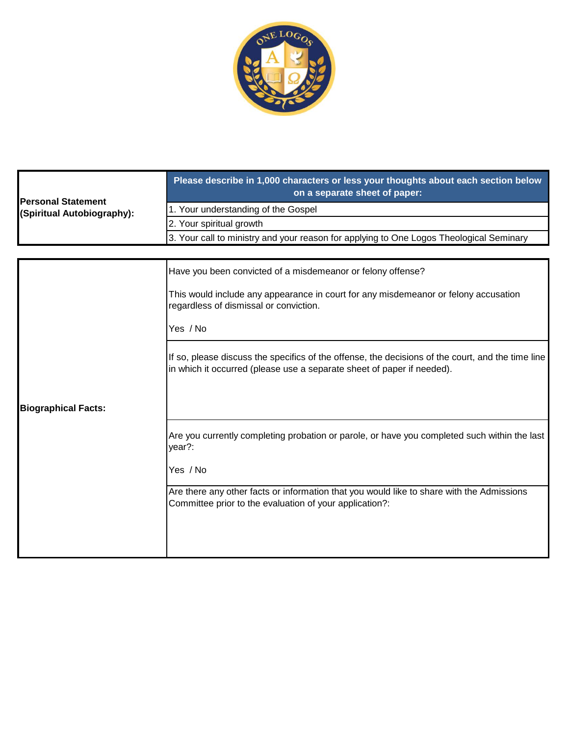

| <b>Personal Statement</b><br>(Spiritual Autobiography): | Please describe in 1,000 characters or less your thoughts about each section below<br>on a separate sheet of paper: |
|---------------------------------------------------------|---------------------------------------------------------------------------------------------------------------------|
|                                                         | 1. Your understanding of the Gospel                                                                                 |
|                                                         | 2. Your spiritual growth                                                                                            |
|                                                         | 3. Your call to ministry and your reason for applying to One Logos Theological Seminary                             |

|                            | Have you been convicted of a misdemeanor or felony offense?                                                                                                                 |
|----------------------------|-----------------------------------------------------------------------------------------------------------------------------------------------------------------------------|
|                            | This would include any appearance in court for any misdemeanor or felony accusation<br>regardless of dismissal or conviction.                                               |
|                            | Yes / No                                                                                                                                                                    |
|                            | If so, please discuss the specifics of the offense, the decisions of the court, and the time line<br>in which it occurred (please use a separate sheet of paper if needed). |
| <b>Biographical Facts:</b> |                                                                                                                                                                             |
|                            | Are you currently completing probation or parole, or have you completed such within the last<br>year?:                                                                      |
|                            | Yes / No                                                                                                                                                                    |
|                            | Are there any other facts or information that you would like to share with the Admissions<br>Committee prior to the evaluation of your application?:                        |
|                            |                                                                                                                                                                             |
|                            |                                                                                                                                                                             |